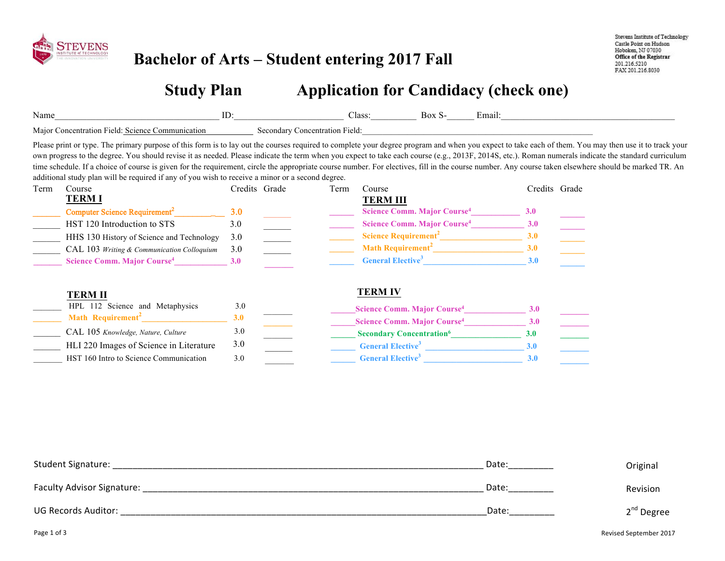

### **Bachelor of Arts – Student entering 2017 Fall**

3.0 \_\_\_\_\_\_\_

HLI 220 Images of Science in Literature HST 160 Intro to Science Communication

Stevens Institute of Technology Castle Point on Hudson Hoboken, NJ 07030 Office of the Registrar 201.216.5210 FAX 201.216.8030

# **Study Plan**   $\Box$  Application for Candidacy (check one)

| Name           |                                                                                                                                                                                                                | ID:                             |                                |      | Class:<br>Box S-                                                                                                                                                                            | Email:                                             |                                                                                                                                                                                                                                                                                                                                                                                                                                                                                                                                                                                                                        |
|----------------|----------------------------------------------------------------------------------------------------------------------------------------------------------------------------------------------------------------|---------------------------------|--------------------------------|------|---------------------------------------------------------------------------------------------------------------------------------------------------------------------------------------------|----------------------------------------------------|------------------------------------------------------------------------------------------------------------------------------------------------------------------------------------------------------------------------------------------------------------------------------------------------------------------------------------------------------------------------------------------------------------------------------------------------------------------------------------------------------------------------------------------------------------------------------------------------------------------------|
|                | Major Concentration Field: Science Communication                                                                                                                                                               |                                 | Secondary Concentration Field: |      |                                                                                                                                                                                             |                                                    |                                                                                                                                                                                                                                                                                                                                                                                                                                                                                                                                                                                                                        |
|                | additional study plan will be required if any of you wish to receive a minor or a second degree.                                                                                                               |                                 |                                |      |                                                                                                                                                                                             |                                                    | Please print or type. The primary purpose of this form is to lay out the courses required to complete your degree program and when you expect to take each of them. You may then use it to track your<br>own progress to the degree. You should revise it as needed. Please indicate the term when you expect to take each course (e.g., 2013F, 2014S, etc.). Roman numerals indicate the standard curriculum<br>time schedule. If a choice of course is given for the requirement, circle the appropriate course number. For electives, fill in the course number. Any course taken elsewhere should be marked TR. An |
| Course<br>Term |                                                                                                                                                                                                                | Credits Grade                   |                                | Term | Course                                                                                                                                                                                      | Credits Grade                                      |                                                                                                                                                                                                                                                                                                                                                                                                                                                                                                                                                                                                                        |
| <b>TERM I</b>  | Computer Science Requirement <sup>2</sup><br>HST 120 Introduction to STS<br>HHS 130 History of Science and Technology<br>CAL 103 Writing & Communication Colloquium<br>Science Comm. Major Course <sup>4</sup> | 3.0<br>3.0<br>3.0<br>3.0<br>3.0 |                                |      | <b>TERM III</b><br>Science Comm. Major Course <sup>4</sup><br>Science Comm. Major Course <sup>4</sup><br>Science Requirement <sup>2</sup><br>General Elective <sup>3</sup>                  | <b>3.0</b><br>3.0<br>3.0<br>3.0<br>3.0             | $\overline{\phantom{a}}$<br>$\mathcal{L}(\mathcal{L})$                                                                                                                                                                                                                                                                                                                                                                                                                                                                                                                                                                 |
| <b>TERM II</b> | HPL 112 Science and Metaphysics<br>Math Requirement <sup>2</sup><br>CAL 105 Knowledge, Nature, Culture<br>HLI 220 Images of Science in Literature                                                              | 3.0<br>3.0<br>3.0<br>3.0        |                                |      | <b>TERM IV</b><br>Science Comm. Major Course <sup>4</sup><br>Science Comm. Major Course <sup>4</sup><br><b>Secondary Concentration</b> <sup>6</sup><br><b>General Elective</b> <sup>3</sup> | 3.0<br>3.0<br>3.0 <sub>2</sub><br>3.0 <sub>1</sub> |                                                                                                                                                                                                                                                                                                                                                                                                                                                                                                                                                                                                                        |

\_\_\_\_\_\_ **\_\_\_\_\_\_\_ \_\_\_\_\_\_ General Elective<sup>3</sup> \_\_\_\_\_\_\_\_\_\_\_\_\_\_\_\_\_\_\_\_\_\_\_\_ 3.0** 

**\_\_\_\_\_\_ General Elective<sup>3</sup> \_\_\_\_\_\_\_\_\_\_\_\_\_\_\_\_\_\_\_\_\_\_\_\_ 3.0 \_\_\_\_\_\_\_**

| Student Signature:         | Date: | Original     |
|----------------------------|-------|--------------|
| Faculty Advisor Signature: | Date: | Revision     |
| <b>UG Records Auditor:</b> | Date: | $2nd$ Degree |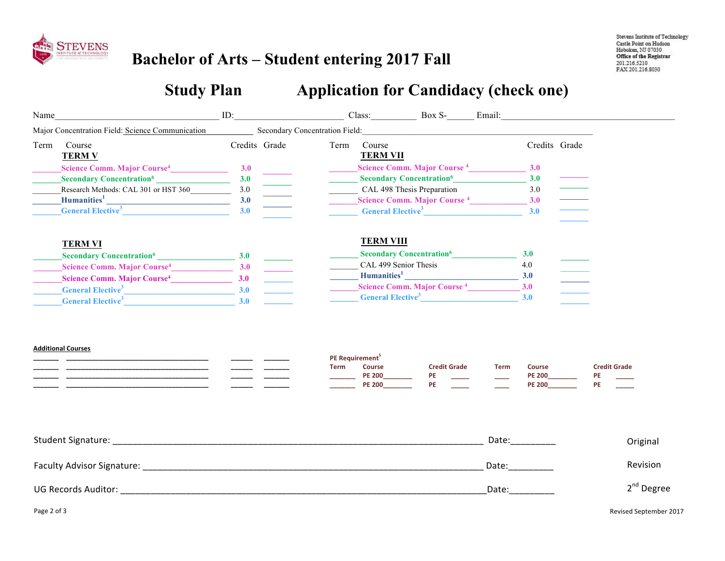

## **Bachelor of Arts – Student entering 2017 Fall**

# **Study Plan Capplication for Candidacy (check one)**

| Name |                                                                                                                                                                                                                                | ID: |                                                                     |      | Class: Box S- Email:                                                           |                                             |             |                                                                                                                                                                                                                                |                                  |
|------|--------------------------------------------------------------------------------------------------------------------------------------------------------------------------------------------------------------------------------|-----|---------------------------------------------------------------------|------|--------------------------------------------------------------------------------|---------------------------------------------|-------------|--------------------------------------------------------------------------------------------------------------------------------------------------------------------------------------------------------------------------------|----------------------------------|
|      | Major Concentration Field: Science Communication                                                                                                                                                                               |     | Secondary Concentration Field: North Secondary Concentration Field: |      |                                                                                |                                             |             |                                                                                                                                                                                                                                |                                  |
| Term | Course<br><b>TERM V</b>                                                                                                                                                                                                        |     | Credits Grade                                                       | Term | Course<br><b>TERM VII</b>                                                      |                                             |             | Credits Grade                                                                                                                                                                                                                  |                                  |
|      | Science Comm. Major Course <sup>4</sup> 3.0                                                                                                                                                                                    |     |                                                                     |      | Science Comm. Major Course <sup>4</sup> 3.0                                    |                                             |             |                                                                                                                                                                                                                                |                                  |
|      | Secondary Concentration <sup>6</sup>                                                                                                                                                                                           | 3.0 |                                                                     |      |                                                                                | <b>Secondary Concentration</b> <sup>6</sup> |             | 3.0                                                                                                                                                                                                                            |                                  |
|      |                                                                                                                                                                                                                                |     |                                                                     |      | CAL 498 Thesis Preparation                                                     |                                             |             | 3.0                                                                                                                                                                                                                            |                                  |
|      |                                                                                                                                                                                                                                |     |                                                                     |      | Science Comm. Major Course 4 3.0                                               |                                             |             |                                                                                                                                                                                                                                |                                  |
|      | Secondary Concentration <sup>6</sup><br>Research Methods: CAL 301 or HST 360<br>Humanities <sup>1</sup><br>General Elective <sup>3</sup><br>3.0                                                                                |     |                                                                     |      |                                                                                | General Elective <sup>3</sup>               |             | 3.0                                                                                                                                                                                                                            |                                  |
|      | <b>TERM VI</b>                                                                                                                                                                                                                 |     |                                                                     |      | <b>TERM VIII</b>                                                               |                                             |             |                                                                                                                                                                                                                                |                                  |
|      | Secondary Concentration <sup>6</sup> 3.0                                                                                                                                                                                       |     |                                                                     |      |                                                                                | Secondary Concentration <sup>6</sup>        |             | 3.0                                                                                                                                                                                                                            |                                  |
|      | Science Comm. Major Course <sup>4</sup> 3.0                                                                                                                                                                                    |     |                                                                     |      | CAL 499 Senior Thesis                                                          |                                             |             | 4.0                                                                                                                                                                                                                            |                                  |
|      | Science Comm. Major Course <sup>4</sup> 3.0                                                                                                                                                                                    |     |                                                                     |      |                                                                                |                                             |             |                                                                                                                                                                                                                                |                                  |
|      | $\frac{1}{2}$ General Elective <sup>3</sup> 2.0                                                                                                                                                                                |     |                                                                     |      | Science Comm. Major Course 4 3.0                                               |                                             |             |                                                                                                                                                                                                                                |                                  |
|      | General Elective <sup>3</sup> 3.0                                                                                                                                                                                              |     |                                                                     |      | General Elective <sup>3</sup> 3.0                                              |                                             |             |                                                                                                                                                                                                                                |                                  |
|      | <b>Additional Courses</b>                                                                                                                                                                                                      |     |                                                                     | Term | PE Requirement <sup>5</sup><br><b>Course</b><br><b>PE 200</b><br><b>PE 200</b> | <b>Credit Grade</b><br>PE<br><b>PE</b>      | <b>Term</b> | Course<br><b>PE 200</b><br><b>PE 200</b>                                                                                                                                                                                       | <b>Credit Grade</b><br>PE<br>PE. |
|      | Student Signature: National Account of the Contract of the Contract of the Contract of the Contract of the Contract of the Contract of the Contract of the Contract of the Contract of the Contract of the Contract of the Con |     |                                                                     |      |                                                                                |                                             |             |                                                                                                                                                                                                                                | Original                         |
|      |                                                                                                                                                                                                                                |     |                                                                     |      |                                                                                |                                             |             | Date: the control of the control of the control of the control of the control of the control of the control of the control of the control of the control of the control of the control of the control of the control of the co | Revision                         |
|      | UG Records Auditor: The contract of the contract of the contract of the contract of the contract of the contract of the contract of the contract of the contract of the contract of the contract of the contract of the contra |     |                                                                     |      |                                                                                |                                             | Date:       |                                                                                                                                                                                                                                | $2nd$ Degree                     |